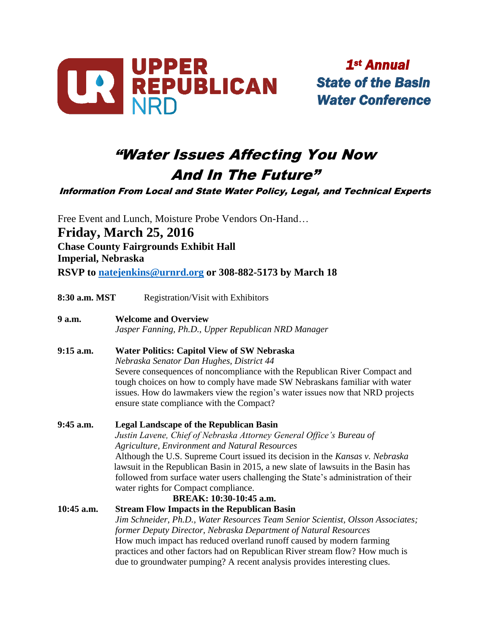

 *Annual*

## "Water Issues Affecting You Now And In The Future"

Information From Local and State Water Policy, Legal, and Technical Experts

Free Event and Lunch, Moisture Probe Vendors On-Hand… **Friday, March 25, 2016** **Chase County Fairgrounds Exhibit Hall** **Imperial, Nebraska RSVP to [natejenkins@urnrd.org](mailto:natejenkins@urnrd.org) or 308-882-5173 by March 18**

**8:30 a.m. MST** Registration/Visit with Exhibitors

**9 a.m. Welcome and Overview**

*Jasper Fanning, Ph.D., Upper Republican NRD Manager*

- **9:15 a.m. Water Politics: Capitol View of SW Nebraska** *Nebraska Senator Dan Hughes, District 44* Severe consequences of noncompliance with the Republican River Compact and tough choices on how to comply have made SW Nebraskans familiar with water issues. How do lawmakers view the region's water issues now that NRD projects ensure state compliance with the Compact?
- **9:45 a.m. Legal Landscape of the Republican Basin** *Justin Lavene, Chief of Nebraska Attorney General Office's Bureau of Agriculture, Environment and Natural Resources* Although the U.S. Supreme Court issued its decision in the *Kansas v. Nebraska* lawsuit in the Republican Basin in 2015, a new slate of lawsuits in the Basin has followed from surface water users challenging the State's administration of their water rights for Compact compliance. **BREAK: 10:30-10:45 a.m. 10:45 a.m. Stream Flow Impacts in the Republican Basin**
	- *Jim Schneider, Ph.D., Water Resources Team Senior Scientist, Olsson Associates; former Deputy Director, Nebraska Department of Natural Resources* How much impact has reduced overland runoff caused by modern farming practices and other factors had on Republican River stream flow? How much is due to groundwater pumping? A recent analysis provides interesting clues.